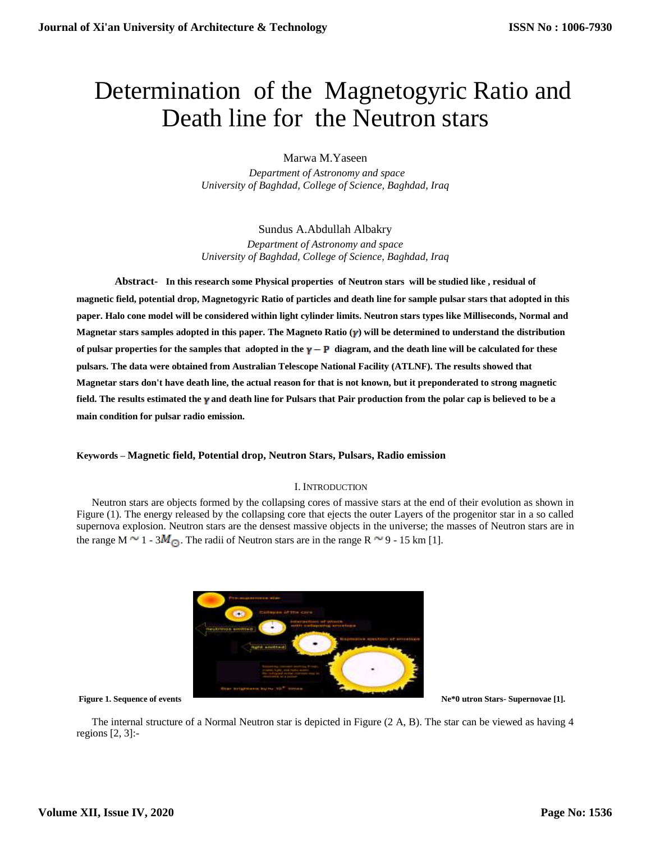# Determination of the Magnetogyric Ratio and Death line for the Neutron stars

Marwa M.Yaseen

 *Department of Astronomy and space University of Baghdad, College of Science, Baghdad, Iraq*

Sundus A.Abdullah Albakry *Department of Astronomy and space*

*University of Baghdad, College of Science, Baghdad, Iraq*

**Abstract- In this research some Physical properties of Neutron stars will be studied like , residual of magnetic field, potential drop, Magnetogyric Ratio of particles and death line for sample pulsar stars that adopted in this paper. Halo cone model will be considered within light cylinder limits. Neutron stars types like Milliseconds, Normal and Magnetar stars samples adopted in this paper. The Magneto Ratio ( ) will be determined to understand the distribution**  of pulsar properties for the samples that adopted in the  $\gamma - P$  diagram, and the death line will be calculated for these **pulsars. The data were obtained from Australian Telescope National Facility (ATLNF). The results showed that Magnetar stars don't have death line, the actual reason for that is not known, but it preponderated to strong magnetic field. The results estimated the v and death line for Pulsars that Pair production from the polar cap is believed to be a main condition for pulsar radio emission.**

# **Keywords – Magnetic field, Potential drop, Neutron Stars, Pulsars, Radio emission**

# I. INTRODUCTION

Neutron stars are objects formed by the collapsing cores of massive stars at the end of their evolution as shown in Figure (1). The energy released by the collapsing core that ejects the outer Layers of the progenitor star in a so called supernova explosion. Neutron stars are the densest massive objects in the universe; the masses of Neutron stars are in the range M  $\sim$  1 - 3 $M_{\odot}$ . The radii of Neutron stars are in the range R  $\sim$  9 - 15 km [1].



The internal structure of a Normal Neutron star is depicted in Figure (2 A, B). The star can be viewed as having 4 regions [2, 3]:-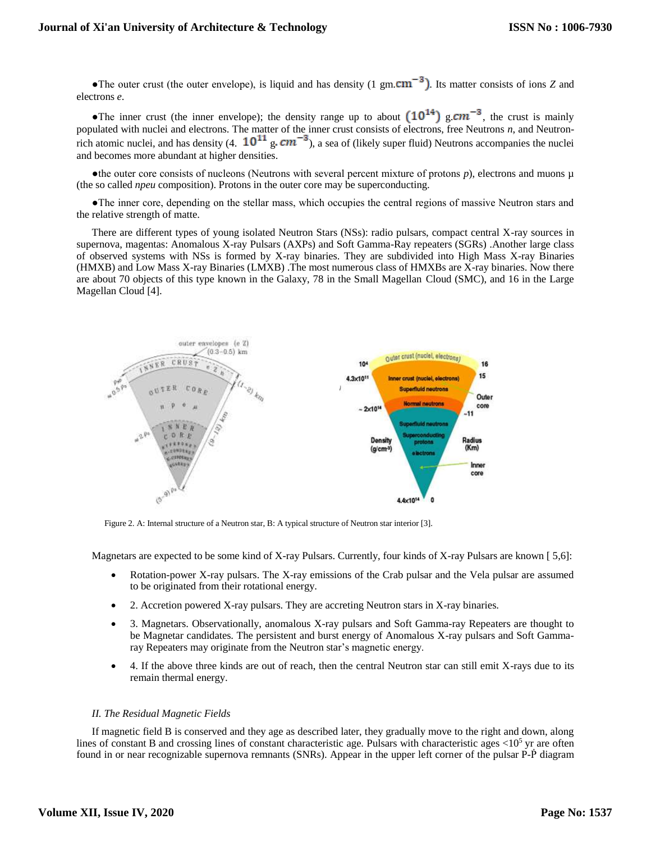•The outer crust (the outer envelope), is liquid and has density (1 gm. $cm^{-3}$ ). Its matter consists of ions *Z* and electrons *e*.

The inner crust (the inner envelope); the density range up to about  $(10^{14})$  g.cm<sup>-3</sup>, the crust is mainly populated with nuclei and electrons. The matter of the inner crust consists of electrons, free Neutrons *n*, and Neutronrich atomic nuclei, and has density (4.  $10^{11}$  g,  $cm^{-3}$ ), a sea of (likely super fluid) Neutrons accompanies the nuclei and becomes more abundant at higher densities.

 $\bullet$ the outer core consists of nucleons (Neutrons with several percent mixture of protons  $p$ ), electrons and muons  $\mu$ (the so called *npeu* composition). Protons in the outer core may be superconducting.

●The inner core, depending on the stellar mass, which occupies the central regions of massive Neutron stars and the relative strength of matte.

There are different types of young isolated Neutron Stars (NSs): radio pulsars, compact central X-ray sources in supernova, magentas: Anomalous X-ray Pulsars (AXPs) and Soft Gamma-Ray repeaters (SGRs) .Another large class of observed systems with NSs is formed by X-ray binaries. They are subdivided into High Mass X-ray Binaries (HMXB) and Low Mass X-ray Binaries (LMXB) .The most numerous class of HMXBs are X-ray binaries. Now there are about 70 objects of this type known in the Galaxy, 78 in the Small Magellan Cloud (SMC), and 16 in the Large Magellan Cloud [4].



Figure 2. A: Internal structure of a Neutron star, B: A typical structure of Neutron star interior [3].

Magnetars are expected to be some kind of X-ray Pulsars. Currently, four kinds of X-ray Pulsars are known [ 5,6]:

- Rotation-power X-ray pulsars. The X-ray emissions of the Crab pulsar and the Vela pulsar are assumed to be originated from their rotational energy.
- 2. Accretion powered X-ray pulsars. They are accreting Neutron stars in X-ray binaries.
- 3. Magnetars. Observationally, anomalous X-ray pulsars and Soft Gamma-ray Repeaters are thought to be Magnetar candidates. The persistent and burst energy of Anomalous X-ray pulsars and Soft Gammaray Repeaters may originate from the Neutron star's magnetic energy.
- 4. If the above three kinds are out of reach, then the central Neutron star can still emit X-rays due to its remain thermal energy.

# *II. The Residual Magnetic Fields*

If magnetic field B is conserved and they age as described later, they gradually move to the right and down, along lines of constant B and crossing lines of constant characteristic age. Pulsars with characteristic ages  $\langle 10^5 \rangle$  yr are often found in or near recognizable supernova remnants (SNRs). Appear in the upper left corner of the pulsar P-P diagram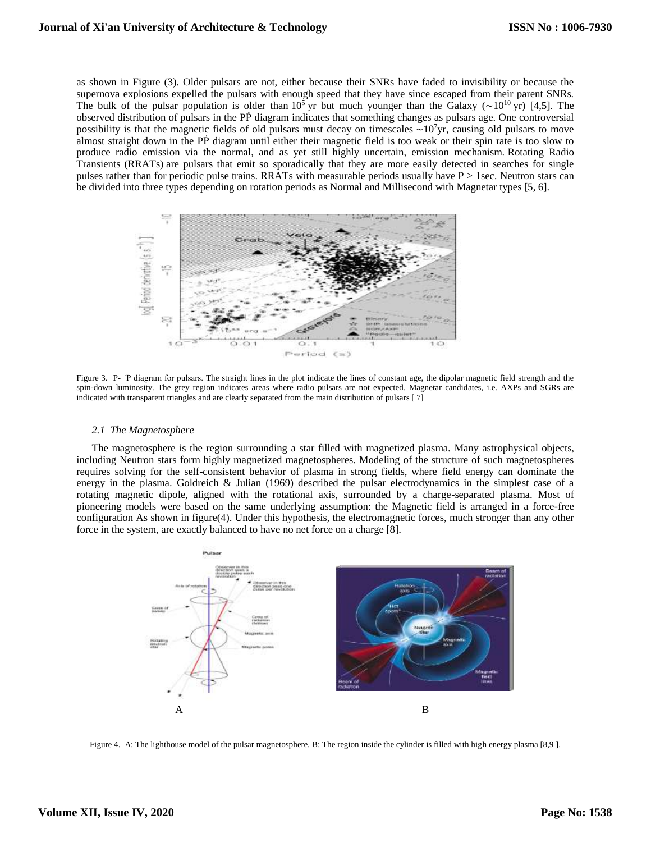as shown in Figure (3). Older pulsars are not, either because their SNRs have faded to invisibility or because the supernova explosions expelled the pulsars with enough speed that they have since escaped from their parent SNRs. The bulk of the pulsar population is older than 10<sup>5</sup> yr but much younger than the Galaxy (∼10<sup>10</sup> yr) [4,5]. The observed distribution of pulsars in the PP diagram indicates that something changes as pulsars age. One controversial possibility is that the magnetic fields of old pulsars must decay on timescales ∼10<sup>7</sup>yr, causing old pulsars to move almost straight down in the PP diagram until either their magnetic field is too weak or their spin rate is too slow to produce radio emission via the normal, and as yet still highly uncertain, emission mechanism. Rotating Radio Transients (RRATs) are pulsars that emit so sporadically that they are more easily detected in searches for single pulses rather than for periodic pulse trains. RRATs with measurable periods usually have P > 1sec. Neutron stars can be divided into three types depending on rotation periods as Normal and Millisecond with Magnetar types [5, 6].



Figure 3. P- ˙P diagram for pulsars. The straight lines in the plot indicate the lines of constant age, the dipolar magnetic field strength and the spin-down luminosity. The grey region indicates areas where radio pulsars are not expected. Magnetar candidates, i.e. AXPs and SGRs are indicated with transparent triangles and are clearly separated from the main distribution of pulsars [ 7]

## *2.1 The Magnetosphere*

The magnetosphere is the region surrounding a star filled with magnetized plasma. Many astrophysical objects, including Neutron stars form highly magnetized magnetospheres. Modeling of the structure of such magnetospheres requires solving for the self-consistent behavior of plasma in strong fields, where field energy can dominate the energy in the plasma. Goldreich & Julian (1969) described the pulsar electrodynamics in the simplest case of a rotating magnetic dipole, aligned with the rotational axis, surrounded by a charge-separated plasma. Most of pioneering models were based on the same underlying assumption: the Magnetic field is arranged in a force-free configuration As shown in figure(4). Under this hypothesis, the electromagnetic forces, much stronger than any other force in the system, are exactly balanced to have no net force on a charge [8].



Figure 4. A: The lighthouse model of the pulsar magnetosphere. B: The region inside the cylinder is filled with high energy plasma [8,9 ].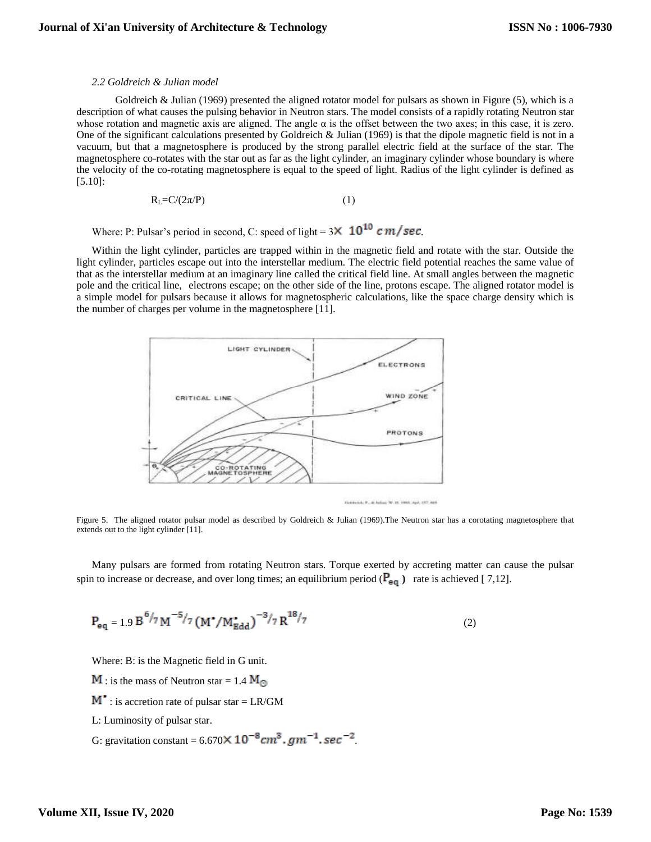# *2.2 Goldreich & Julian model*

Goldreich & Julian (1969) presented the aligned rotator model for pulsars as shown in Figure (5), which is a description of what causes the pulsing behavior in Neutron stars. The model consists of a rapidly rotating Neutron star whose rotation and magnetic axis are aligned. The angle  $\alpha$  is the offset between the two axes; in this case, it is zero. One of the significant calculations presented by Goldreich & Julian (1969) is that the dipole magnetic field is not in a vacuum, but that a magnetosphere is produced by the strong parallel electric field at the surface of the star. The magnetosphere co-rotates with the star out as far as the light cylinder, an imaginary cylinder whose boundary is where the velocity of the co-rotating magnetosphere is equal to the speed of light. Radius of the light cylinder is defined as [5.10]:

$$
R_{L} = C/(2\pi/P) \tag{1}
$$

Where: P: Pulsar's period in second, C: speed of light =  $3 \times 10^{10} \text{ cm/sec}$ .

Within the light cylinder, particles are trapped within in the magnetic field and rotate with the star. Outside the light cylinder, particles escape out into the interstellar medium. The electric field potential reaches the same value of that as the interstellar medium at an imaginary line called the critical field line. At small angles between the magnetic pole and the critical line, electrons escape; on the other side of the line, protons escape. The aligned rotator model is a simple model for pulsars because it allows for magnetospheric calculations, like the space charge density which is the number of charges per volume in the magnetosphere [11].



Gobbietti, P., di Indian W. M. Hertz Agel, 207, 400

Figure 5. The aligned rotator pulsar model as described by Goldreich & Julian (1969).The Neutron star has a corotating magnetosphere that extends out to the light cylinder [11].

Many pulsars are formed from rotating Neutron stars. Torque exerted by accreting matter can cause the pulsar spin to increase or decrease, and over long times; an equilibrium period  $(\mathbf{P}_{eq})$  rate is achieved [7,12].

$$
P_{eq} = 1.9 B^{6/7} M^{-5/7} (M^{\bullet}/M_{Edd}^{\bullet})^{-3/7} R^{18/7}
$$
 (2)

Where: B: is the Magnetic field in G unit.

- **M**: is the mass of Neutron star = 1.4  $M_{\odot}$
- $M^{\bullet}$ : is accretion rate of pulsar star = LR/GM
- L: Luminosity of pulsar star.
- G: gravitation constant =  $6.670 \times 10^{-8}$  cm<sup>3</sup>.  $gm^{-1}$ . sec<sup>-2</sup>.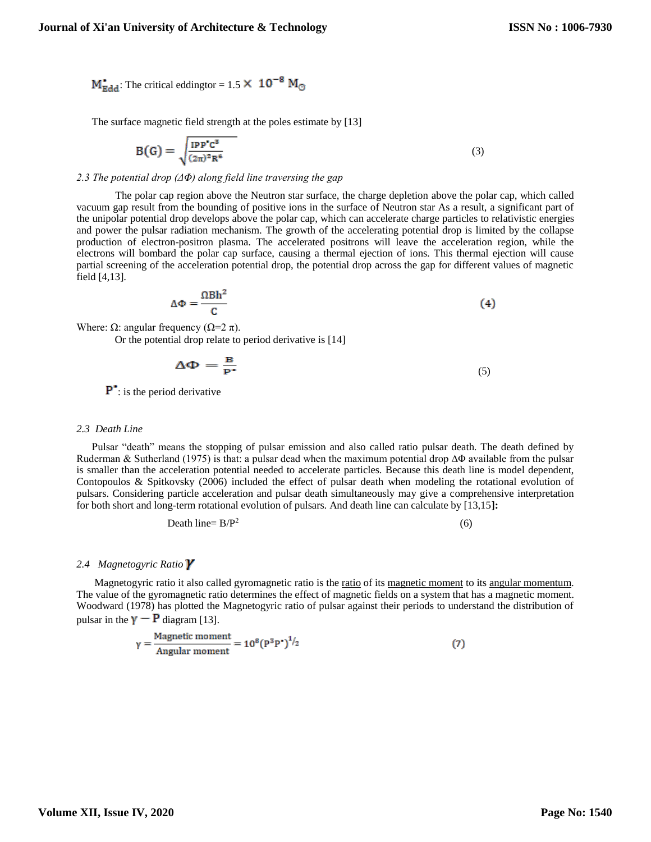$M_{\text{Edd}}^{\bullet}$ . The critical eddingtor = 1.5  $\times$  10<sup>-8</sup> M<sub>O</sub>

The surface magnetic field strength at the poles estimate by [13]

$$
B(G) = \sqrt{\frac{IPP^{\bullet}C^3}{(2\pi)^2R^6}}
$$
 (3)

# *2.3 The potential drop (ΔΦ) along field line traversing the gap*

 The polar cap region above the Neutron star surface, the charge depletion above the polar cap, which called vacuum gap result from the bounding of positive ions in the surface of Neutron star As a result, a significant part of the unipolar potential drop develops above the polar cap, which can accelerate charge particles to relativistic energies and power the pulsar radiation mechanism. The growth of the accelerating potential drop is limited by the collapse production of electron-positron plasma. The accelerated positrons will leave the acceleration region, while the electrons will bombard the polar cap surface, causing a thermal ejection of ions. This thermal ejection will cause partial screening of the acceleration potential drop, the potential drop across the gap for different values of magnetic field [4,13].

$$
\Delta \Phi = \frac{\Omega B h^2}{C} \tag{4}
$$

Where: Ω: angular frequency ( $Ω=2 π$ ).

Or the potential drop relate to period derivative is [14]

$$
\Delta \Phi = \frac{B}{P^*}
$$
 (5)

**P**: is the period derivative

#### *2.3 Death Line*

Pulsar "death" means the stopping of pulsar emission and also called ratio pulsar death. The death defined by Ruderman & Sutherland (1975) is that: a pulsar dead when the maximum potential drop ∆Φ available from the pulsar is smaller than the acceleration potential needed to accelerate particles. Because this death line is model dependent, Contopoulos & Spitkovsky (2006) included the effect of pulsar death when modeling the rotational evolution of pulsars. Considering particle acceleration and pulsar death simultaneously may give a comprehensive interpretation for both short and long-term rotational evolution of pulsars. And death line can calculate by [13,15**]:**

$$
Death line = B/P2
$$
 (6)

# *2.4 Magnetogyric Ratio*

Magnetogyric ratio it also called gyromagnetic ratio is the [ratio](https://en.wikipedia.org/wiki/Ratio) of its [magnetic moment](https://en.wikipedia.org/wiki/Magnetic_moment) to its [angular momentum.](https://en.wikipedia.org/wiki/Angular_momentum) The value of the gyromagnetic ratio determines the effect of magnetic fields on a system that has a magnetic moment. Woodward (1978) has plotted the Magnetogyric ratio of pulsar against their periods to understand the distribution of pulsar in the  $\gamma - P$  diagram [13].

$$
\gamma = \frac{\text{Magnetic moment}}{\text{Angular moment}} = 10^8 (P^3 P^{\bullet})^{1/2}
$$
 (7)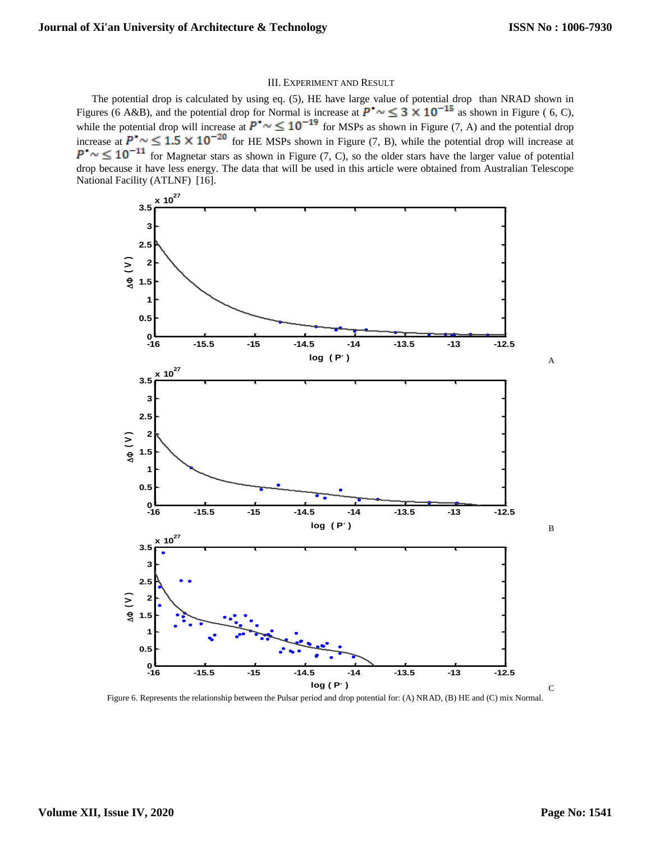# III. EXPERIMENT AND RESULT

The potential drop is calculated by using eq. (5), HE have large value of potential drop than NRAD shown in Figures (6 A&B), and the potential drop for Normal is increase at  $P^* \sim \leq 3 \times 10^{-15}$  as shown in Figure (6, C), while the potential drop will increase at  $P^{\bullet} \sim \leq 10^{-15}$  for MSPs as shown in Figure (7, A) and the potential drop increase at  $P^{\bullet} \sim \leq 1.5 \times 10^{-20}$  for HE MSPs shown in Figure (7, B), while the potential drop will increase at  $\mathbf{P}^{\bullet} \sim \leq 10^{-11}$  for Magnetar stars as shown in Figure (7, C), so the older stars have the larger value of potential drop because it have less energy. The data that will be used in this article were obtained from Australian Telescope National Facility (ATLNF) [16].



Figure 6. Represents the relationship between the Pulsar period and drop potential for: (A) NRAD, (B) HE and (C) mix Normal.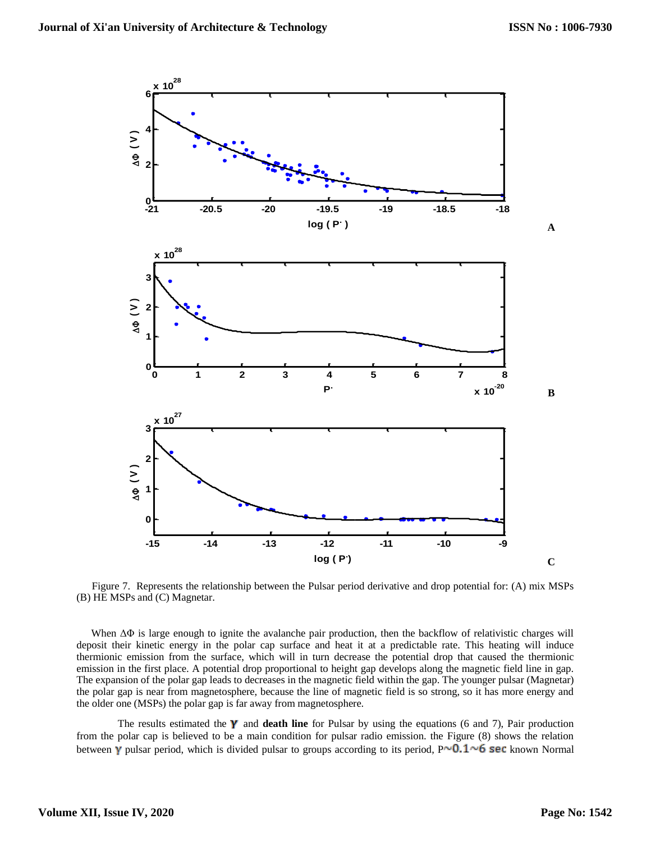

Figure 7. Represents the relationship between the Pulsar period derivative and drop potential for: (A) mix MSPs (B) HE MSPs and (C) Magnetar.

 When ΔΦ is large enough to ignite the avalanche pair production, then the backflow of relativistic charges will deposit their kinetic energy in the polar cap surface and heat it at a predictable rate. This heating will induce thermionic emission from the surface, which will in turn decrease the potential drop that caused the thermionic emission in the first place. A potential drop proportional to height gap develops along the magnetic field line in gap. The expansion of the polar gap leads to decreases in the magnetic field within the gap. The younger pulsar (Magnetar) the polar gap is near from magnetosphere, because the line of magnetic field is so strong, so it has more energy and the older one (MSPs) the polar gap is far away from magnetosphere.

The results estimated the  $\gamma$  and **death line** for Pulsar by using the equations (6 and 7), Pair production from the polar cap is believed to be a main condition for pulsar radio emission. the Figure (8) shows the relation between  $\gamma$  pulsar period, which is divided pulsar to groups according to its period, P $\sim$ 0.1 $\sim$ 6 sec known Normal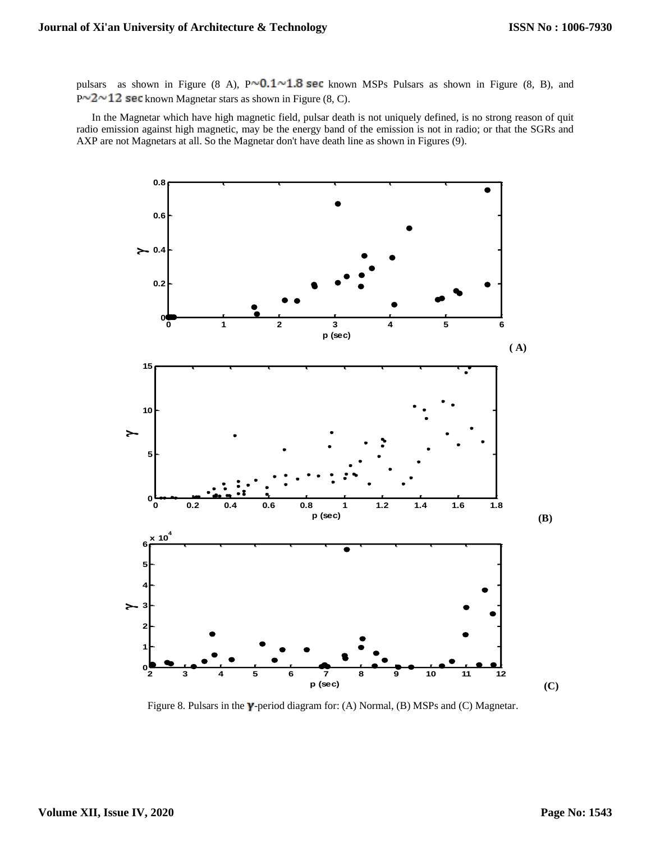pulsars as shown in Figure (8 A),  $P \sim 0.1 \sim 1.8$  sec known MSPs Pulsars as shown in Figure (8, B), and  $P^{\sim}2^{\sim}12$  sec known Magnetar stars as shown in Figure (8, C).

In the Magnetar which have high magnetic field, pulsar death is not uniquely defined, is no strong reason of quit radio emission against high magnetic, may be the energy band of the emission is not in radio; or that the SGRs and AXP are not Magnetars at all. So the Magnetar don't have death line as shown in Figures (9).



Figure 8. Pulsars in the  $\gamma$ -period diagram for: (A) Normal, (B) MSPs and (C) Magnetar.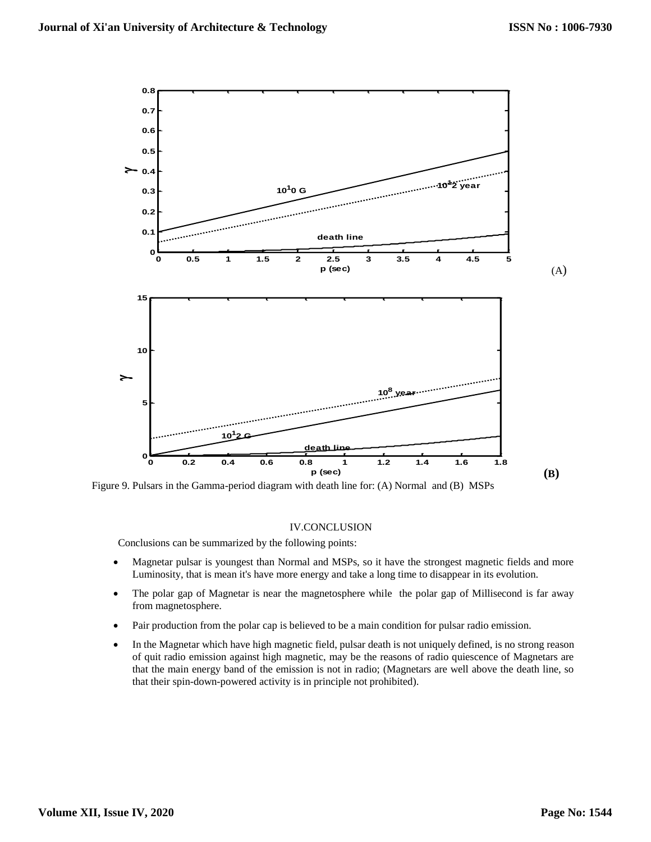

Figure 9. Pulsars in the Gamma-period diagram with death line for: (A) Normal and (B) MSPs

# IV.CONCLUSION

Conclusions can be summarized by the following points:

- Magnetar pulsar is youngest than Normal and MSPs, so it have the strongest magnetic fields and more Luminosity, that is mean it's have more energy and take a long time to disappear in its evolution.
- The polar gap of Magnetar is near the magnetosphere while the polar gap of Millisecond is far away from magnetosphere.
- Pair production from the polar cap is believed to be a main condition for pulsar radio emission.
- In the Magnetar which have high magnetic field, pulsar death is not uniquely defined, is no strong reason of quit radio emission against high magnetic, may be the reasons of radio quiescence of Magnetars are that the main energy band of the emission is not in radio; (Magnetars are well above the death line, so that their spin-down-powered activity is in principle not prohibited).